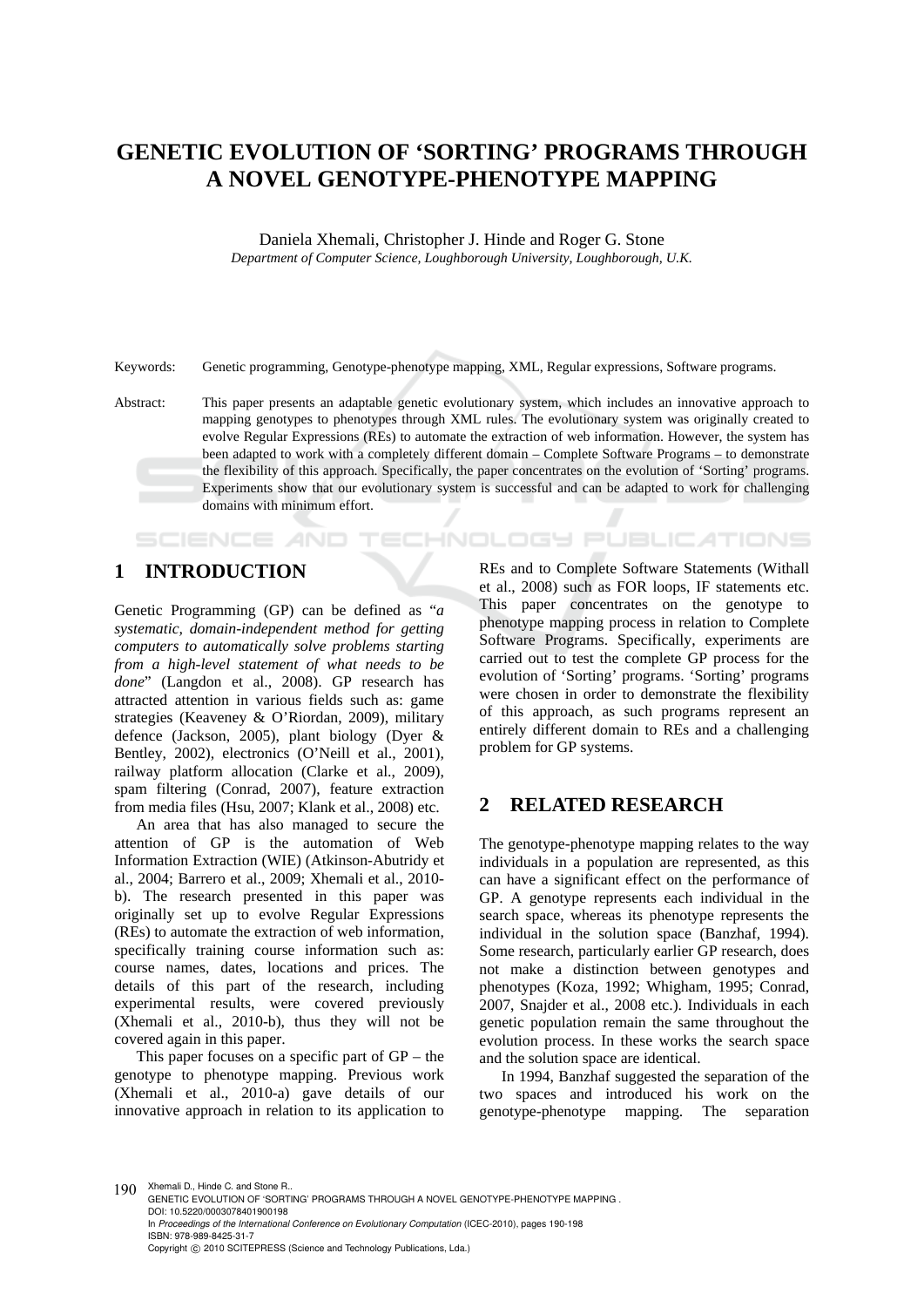# **GENETIC EVOLUTION OF 'SORTING' PROGRAMS THROUGH A NOVEL GENOTYPE-PHENOTYPE MAPPING**

Daniela Xhemali, Christopher J. Hinde and Roger G. Stone *Department of Computer Science, Loughborough University, Loughborough, U.K.* 

Keywords: Genetic programming, Genotype-phenotype mapping, XML, Regular expressions, Software programs.

Abstract: This paper presents an adaptable genetic evolutionary system, which includes an innovative approach to mapping genotypes to phenotypes through XML rules. The evolutionary system was originally created to evolve Regular Expressions (REs) to automate the extraction of web information. However, the system has been adapted to work with a completely different domain – Complete Software Programs – to demonstrate the flexibility of this approach. Specifically, the paper concentrates on the evolution of 'Sorting' programs. Experiments show that our evolutionary system is successful and can be adapted to work for challenging domains with minimum effort.

## **1 INTRODUCTION**

SCIENCE AND

Genetic Programming (GP) can be defined as "*a systematic, domain-independent method for getting computers to automatically solve problems starting from a high-level statement of what needs to be done*" (Langdon et al., 2008). GP research has attracted attention in various fields such as: game strategies (Keaveney & O'Riordan, 2009), military defence (Jackson, 2005), plant biology (Dyer & Bentley, 2002), electronics (O'Neill et al., 2001), railway platform allocation (Clarke et al., 2009), spam filtering (Conrad, 2007), feature extraction from media files (Hsu, 2007; Klank et al., 2008) etc.

An area that has also managed to secure the attention of GP is the automation of Web Information Extraction (WIE) (Atkinson-Abutridy et al., 2004; Barrero et al., 2009; Xhemali et al., 2010 b). The research presented in this paper was originally set up to evolve Regular Expressions (REs) to automate the extraction of web information, specifically training course information such as: course names, dates, locations and prices. The details of this part of the research, including experimental results, were covered previously (Xhemali et al., 2010-b), thus they will not be covered again in this paper.

This paper focuses on a specific part of GP – the genotype to phenotype mapping. Previous work (Xhemali et al., 2010-a) gave details of our innovative approach in relation to its application to

REs and to Complete Software Statements (Withall et al., 2008) such as FOR loops, IF statements etc. This paper concentrates on the genotype to phenotype mapping process in relation to Complete Software Programs. Specifically, experiments are carried out to test the complete GP process for the evolution of 'Sorting' programs. 'Sorting' programs were chosen in order to demonstrate the flexibility of this approach, as such programs represent an entirely different domain to REs and a challenging problem for GP systems.

### **2 RELATED RESEARCH**

**ECHNOLOGY PUBLICATIONS** 

The genotype-phenotype mapping relates to the way individuals in a population are represented, as this can have a significant effect on the performance of GP. A genotype represents each individual in the search space, whereas its phenotype represents the individual in the solution space (Banzhaf, 1994). Some research, particularly earlier GP research, does not make a distinction between genotypes and phenotypes (Koza, 1992; Whigham, 1995; Conrad, 2007, Snajder et al., 2008 etc.). Individuals in each genetic population remain the same throughout the evolution process. In these works the search space and the solution space are identical.

In 1994, Banzhaf suggested the separation of the two spaces and introduced his work on the genotype-phenotype mapping. The separation

190 Xhemali D., Hinde C. and Stone R.

GENETIC EVOLUTION OF 'SORTING' PROGRAMS THROUGH A NOVEL GENOTYPE-PHENOTYPE MAPPING . DOI: 10.5220/0003078401900198 In *Proceedings of the International Conference on Evolutionary Computation* (ICEC-2010), pages 190-198 ISBN: 978-989-8425-31-7 Copyright © 2010 SCITEPRESS (Science and Technology Publications, Lda.)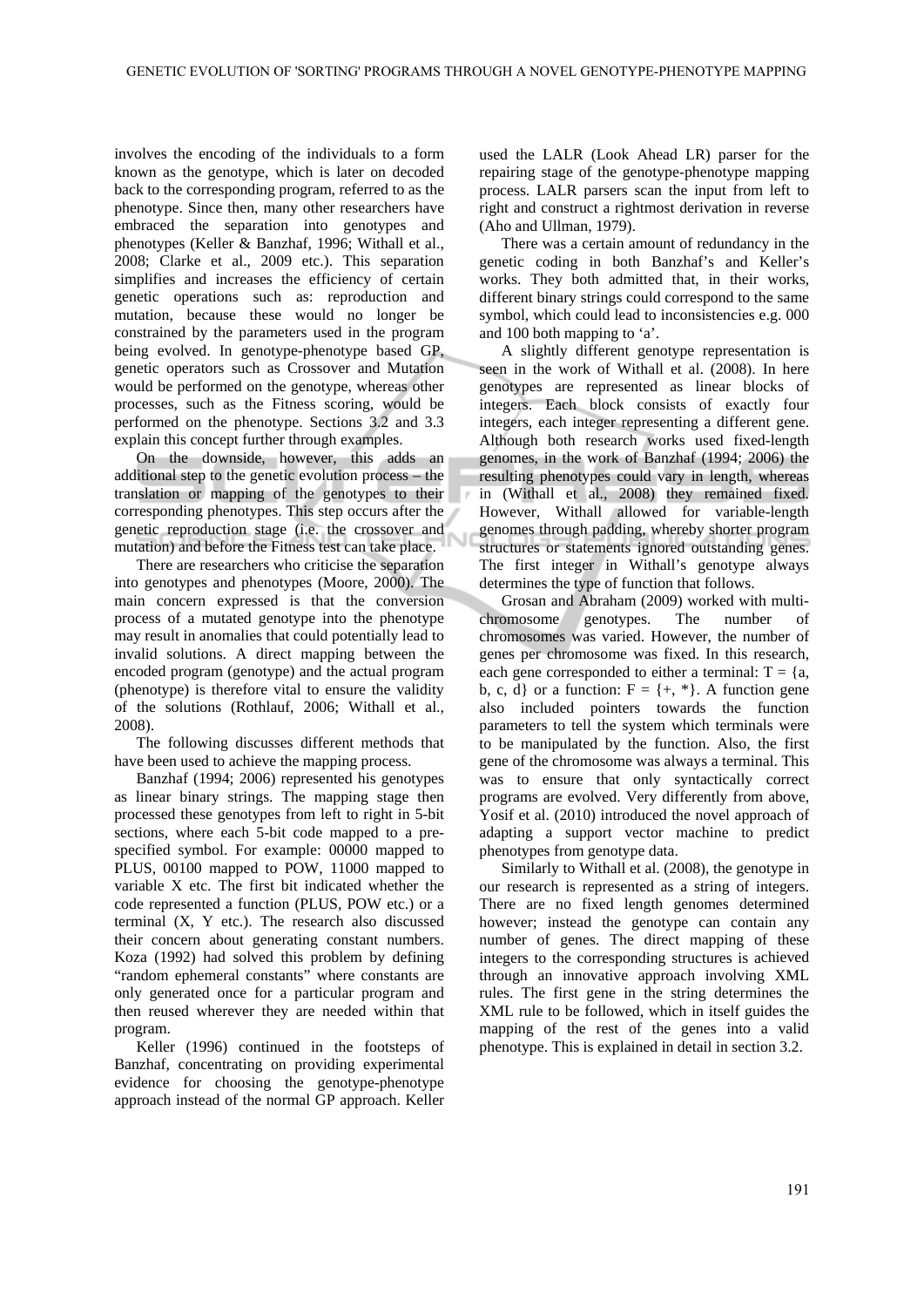involves the encoding of the individuals to a form known as the genotype, which is later on decoded back to the corresponding program, referred to as the phenotype. Since then, many other researchers have embraced the separation into genotypes and phenotypes (Keller & Banzhaf, 1996; Withall et al., 2008; Clarke et al., 2009 etc.). This separation simplifies and increases the efficiency of certain genetic operations such as: reproduction and mutation, because these would no longer be constrained by the parameters used in the program being evolved. In genotype-phenotype based GP, genetic operators such as Crossover and Mutation would be performed on the genotype, whereas other processes, such as the Fitness scoring, would be performed on the phenotype. Sections 3.2 and 3.3 explain this concept further through examples.

On the downside, however, this adds an additional step to the genetic evolution process – the translation or mapping of the genotypes to their corresponding phenotypes. This step occurs after the genetic reproduction stage (i.e. the crossover and mutation) and before the Fitness test can take place.

There are researchers who criticise the separation into genotypes and phenotypes (Moore, 2000). The main concern expressed is that the conversion process of a mutated genotype into the phenotype may result in anomalies that could potentially lead to invalid solutions. A direct mapping between the encoded program (genotype) and the actual program (phenotype) is therefore vital to ensure the validity of the solutions (Rothlauf, 2006; Withall et al., 2008).

The following discusses different methods that have been used to achieve the mapping process.

Banzhaf (1994; 2006) represented his genotypes as linear binary strings. The mapping stage then processed these genotypes from left to right in 5-bit sections, where each 5-bit code mapped to a prespecified symbol. For example: 00000 mapped to PLUS, 00100 mapped to POW, 11000 mapped to variable X etc. The first bit indicated whether the code represented a function (PLUS, POW etc.) or a terminal (X, Y etc.). The research also discussed their concern about generating constant numbers. Koza (1992) had solved this problem by defining "random ephemeral constants" where constants are only generated once for a particular program and then reused wherever they are needed within that program.

Keller (1996) continued in the footsteps of Banzhaf, concentrating on providing experimental evidence for choosing the genotype-phenotype approach instead of the normal GP approach. Keller

used the LALR (Look Ahead LR) parser for the repairing stage of the genotype-phenotype mapping process. LALR parsers scan the input from left to right and construct a rightmost derivation in reverse (Aho and Ullman, 1979).

There was a certain amount of redundancy in the genetic coding in both Banzhaf's and Keller's works. They both admitted that, in their works, different binary strings could correspond to the same symbol, which could lead to inconsistencies e.g. 000 and 100 both mapping to 'a'.

A slightly different genotype representation is seen in the work of Withall et al. (2008). In here genotypes are represented as linear blocks of integers. Each block consists of exactly four integers, each integer representing a different gene. Although both research works used fixed-length genomes, in the work of Banzhaf (1994; 2006) the resulting phenotypes could vary in length, whereas in (Withall et al., 2008) they remained fixed. However, Withall allowed for variable-length genomes through padding, whereby shorter program structures or statements ignored outstanding genes. The first integer in Withall's genotype always determines the type of function that follows.

Grosan and Abraham (2009) worked with multi-<br>omosome genotypes. The number of chromosome genotypes. The number of chromosomes was varied. However, the number of genes per chromosome was fixed. In this research, each gene corresponded to either a terminal:  $T = \{a,$ b, c, d} or a function:  $F = \{+, * \}$ . A function gene also included pointers towards the function parameters to tell the system which terminals were to be manipulated by the function. Also, the first gene of the chromosome was always a terminal. This was to ensure that only syntactically correct programs are evolved. Very differently from above, Yosif et al. (2010) introduced the novel approach of adapting a support vector machine to predict phenotypes from genotype data.

Similarly to Withall et al. (2008), the genotype in our research is represented as a string of integers. There are no fixed length genomes determined however; instead the genotype can contain any number of genes. The direct mapping of these integers to the corresponding structures is achieved through an innovative approach involving XML rules. The first gene in the string determines the XML rule to be followed, which in itself guides the mapping of the rest of the genes into a valid phenotype. This is explained in detail in section 3.2.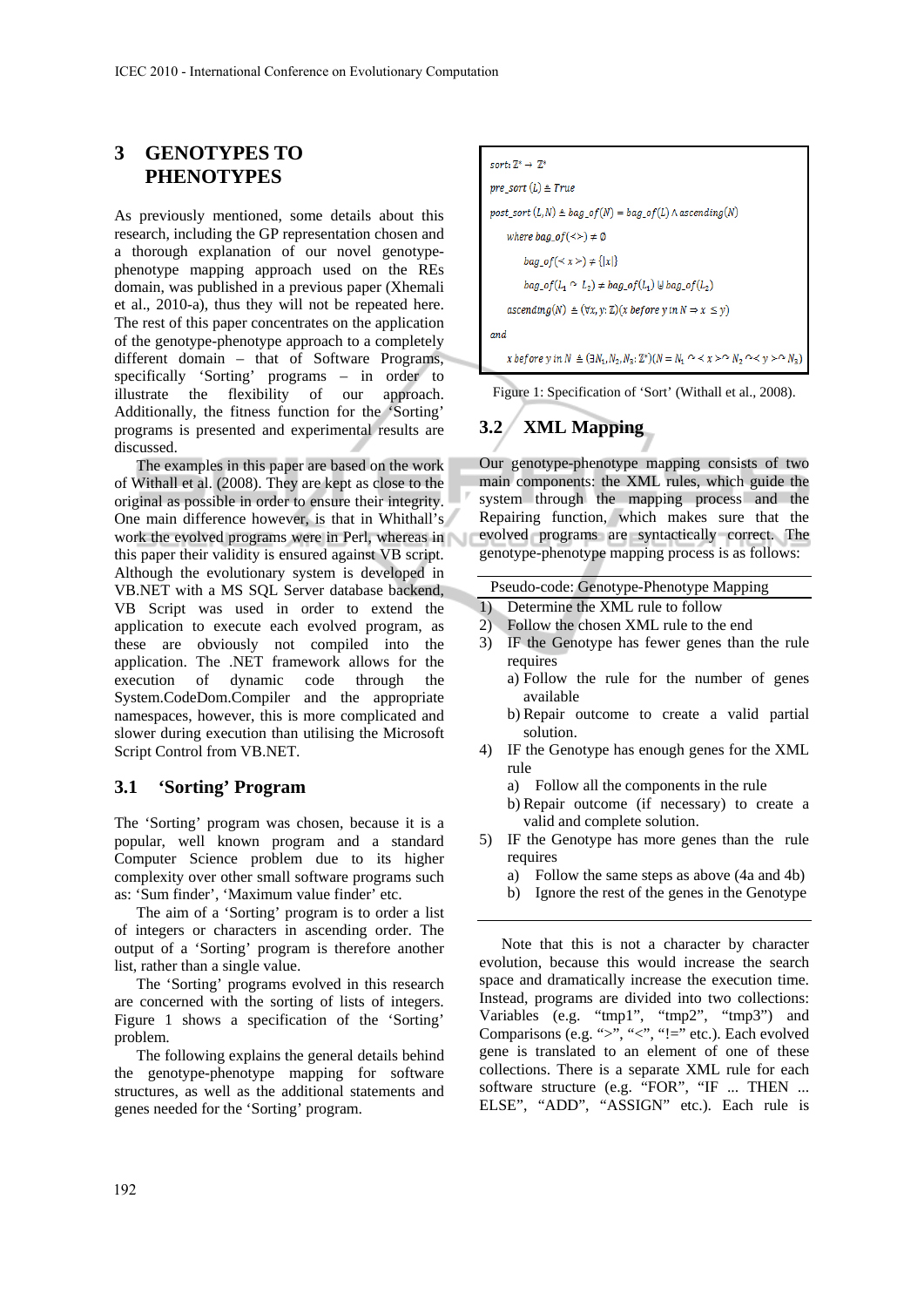## **3 GENOTYPES TO PHENOTYPES**

As previously mentioned, some details about this research, including the GP representation chosen and a thorough explanation of our novel genotypephenotype mapping approach used on the REs domain, was published in a previous paper (Xhemali et al., 2010-a), thus they will not be repeated here. The rest of this paper concentrates on the application of the genotype-phenotype approach to a completely different domain – that of Software Programs, specifically 'Sorting' programs – in order to illustrate the flexibility of our approach. Additionally, the fitness function for the 'Sorting' programs is presented and experimental results are discussed.

The examples in this paper are based on the work of Withall et al. (2008). They are kept as close to the original as possible in order to ensure their integrity. One main difference however, is that in Whithall's work the evolved programs were in Perl, whereas in this paper their validity is ensured against VB script. Although the evolutionary system is developed in VB.NET with a MS SQL Server database backend, VB Script was used in order to extend the application to execute each evolved program, as these are obviously not compiled into the application. The .NET framework allows for the execution of dynamic code through the System.CodeDom.Compiler and the appropriate namespaces, however, this is more complicated and slower during execution than utilising the Microsoft Script Control from VB.NET.

### **3.1 'Sorting' Program**

The 'Sorting' program was chosen, because it is a popular, well known program and a standard Computer Science problem due to its higher complexity over other small software programs such as: 'Sum finder', 'Maximum value finder' etc.

The aim of a 'Sorting' program is to order a list of integers or characters in ascending order. The output of a 'Sorting' program is therefore another list, rather than a single value.

The 'Sorting' programs evolved in this research are concerned with the sorting of lists of integers. Figure 1 shows a specification of the 'Sorting' problem.

The following explains the general details behind the genotype-phenotype mapping for software structures, as well as the additional statements and genes needed for the 'Sorting' program.

$$
sort: \mathbb{Z}^* \to \mathbb{Z}^*
$$
\n
$$
pre\_sort(L) \triangleq True
$$
\n
$$
post\_sort(L, N) \triangleq bag\_of(N) = bag\_of(L) \land ascending(N)
$$
\n
$$
where \, bag\_of(\llgt;) \neq \emptyset
$$
\n
$$
bag\_of(\llgt;) \neq \{x\}
$$
\n
$$
bag\_of(L_1 \sim L_2) \neq bag\_of(L_1) \cup bag\_of(L_2)
$$
\n
$$
ascending(N) \triangleq (\forall x, y: \mathbb{Z})(x \, before \, y \, in \, N \Rightarrow x \leq y)
$$
\n
$$
and
$$
\n
$$
x \, before \, y \, in \, N \triangleq (\exists N_1, N_2, N_3: \mathbb{Z}^*) (N = N_1 \, \land \prec x \, > \land \, N_2 \, \land \prec y \, > \land \, N_3)
$$

Figure 1: Specification of 'Sort' (Withall et al., 2008).

## **3.2 XML Mapping**

Our genotype-phenotype mapping consists of two main components: the XML rules, which guide the system through the mapping process and the Repairing function, which makes sure that the evolved programs are syntactically correct. The genotype-phenotype mapping process is as follows:

#### Pseudo-code: Genotype-Phenotype Mapping

- 1) Determine the XML rule to follow
- 2) Follow the chosen XML rule to the end
- 3) IF the Genotype has fewer genes than the rule requires
	- a) Follow the rule for the number of genes available
	- b) Repair outcome to create a valid partial solution.
- 4) IF the Genotype has enough genes for the XML rule
	- a) Follow all the components in the rule
	- b) Repair outcome (if necessary) to create a valid and complete solution.
- 5) IF the Genotype has more genes than the rule requires
	- a) Follow the same steps as above (4a and 4b)
	- b) Ignore the rest of the genes in the Genotype

Note that this is not a character by character evolution, because this would increase the search space and dramatically increase the execution time. Instead, programs are divided into two collections: Variables (e.g. "tmp1", "tmp2", "tmp3") and Comparisons (e.g. ">", "<", "!=" etc.). Each evolved gene is translated to an element of one of these collections. There is a separate XML rule for each software structure (e.g. "FOR", "IF ... THEN ... ELSE", "ADD", "ASSIGN" etc.). Each rule is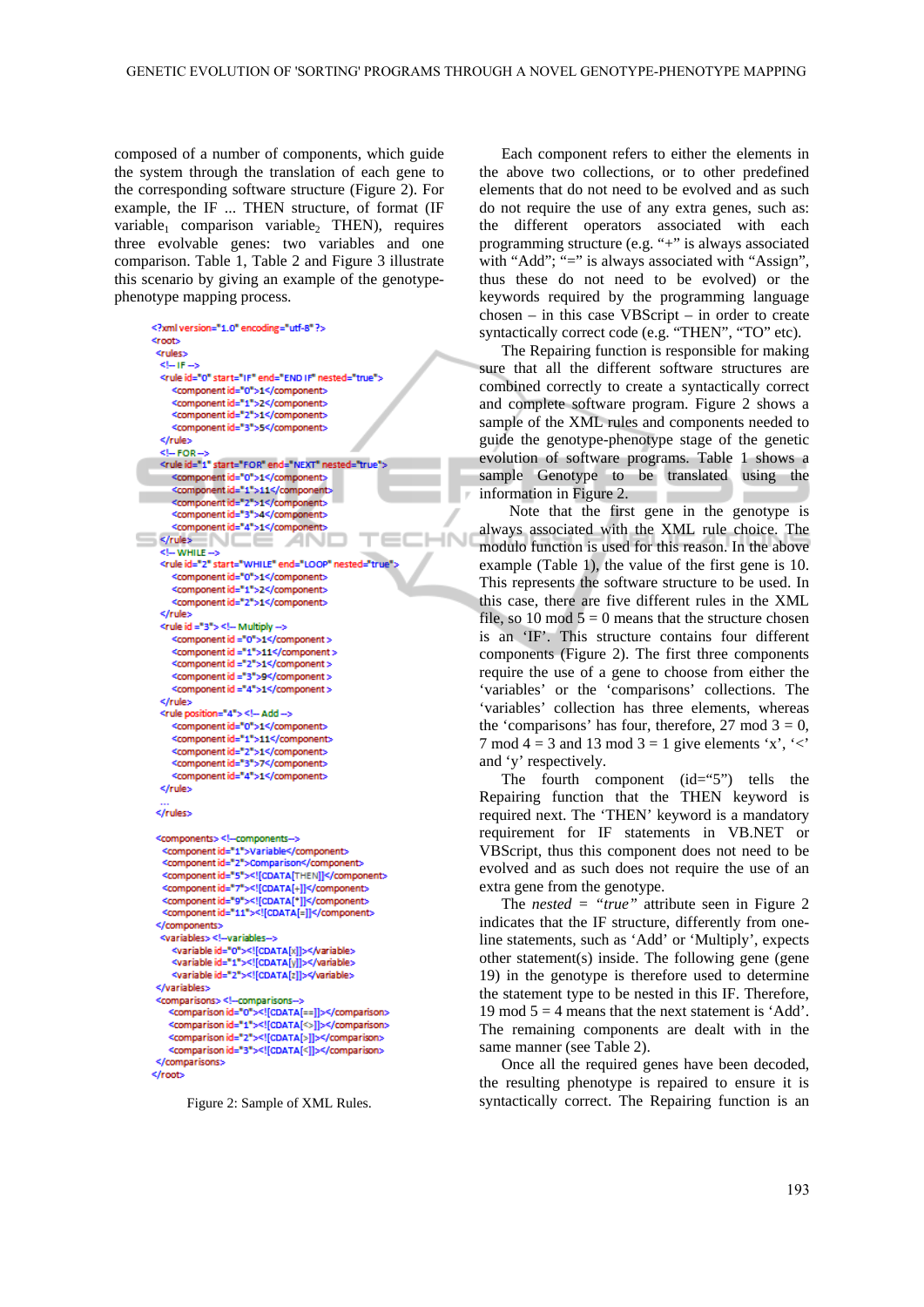$H = H$ 

composed of a number of components, which guide the system through the translation of each gene to the corresponding software structure (Figure 2). For example, the IF ... THEN structure, of format (IF variable<sub>1</sub> comparison variable<sub>2</sub> THEN), requires three evolvable genes: two variables and one comparison. Table 1, Table 2 and Figure 3 illustrate this scenario by giving an example of the genotypephenotype mapping process.

```
<?xml version="1.0" encoding="utf-8"?>
<root>
 <rules>
 CLIFIC
 <rule id="0" start="IF" end="FND IF" nested="true">
    <component id="0">1</component>
    <component id="1">2</component>
    <component id="2">1</component>
    <component id="3">5</component>
 </rule>
 \overline{c} – FOR
 <rule id="1" start="FOR" end="NEXT" nested="true">
   <component id="0">1</component>
    <component id="1">11</component>
    component id="2">1</component>
    <component id="3">4</component>
    <component id="4">1</component>
                                                \equiv\le/rule>
             NCE ANI
  CLUMATELS
 <rule id="2" start="WHILE" end="LOOP" nested="true".
    <component id="0">1</component>
    <component id="1">2</component>
    <component id="2">1</component>
 </rule>
 <rule id ="3"> <!- Multiply -->
    <component id ="0">1</component >
    <component id ="1">11</component >
    <component id ="2">1</component >
    <component id ="3">9</component >
    <component id ="4">1</component >
 </rule>
 <rule position="4"> <!- Add -->
    <component id="0">1</component>
    <component id="1">11</component>
    <component id="2">1</component>
    <component id="3">7</component>
    <component id="4">1</component>
 </rule>
</rulacy
```

```
<components><!--components-->
  <component id="1">Variable</component>
  <component id="2">Comparison</component>
  <component id="5"><![CDATA[THEN]]</component>
  <component id="7"><![CDATA[+]]</component>
  <component id="9"><![CDATA[*]]</component>
  <component id="11"><![CDATA[=]]</component>
 </components>
 <variables> <!--variables-->
    <variable id="0"><![CDATA[x]]></variable>
    <variable id="1"><![CDATA[y]]></variable>
    <variable id="2"><![CDATA[z]]></variable>
 </variables>
 <comparisons> <!- comparisons--:
   <comparison id="0"><![CDATA[==]]></comparison>
   <comparison id="1"><![CDATA[<>]]></comparison>
   <comparison id="2"><![CDATA[>]]></comparison>
   <comparison id="3"><![CDATA[<]]></comparison>
</comparisons>
</root>
```

```
Figure 2: Sample of XML Rules.
```
Each component refers to either the elements in the above two collections, or to other predefined elements that do not need to be evolved and as such do not require the use of any extra genes, such as: the different operators associated with each programming structure (e.g. "+" is always associated with "Add"; "=" is always associated with "Assign", thus these do not need to be evolved) or the keywords required by the programming language chosen – in this case VBScript – in order to create syntactically correct code (e.g. "THEN", "TO" etc).

The Repairing function is responsible for making sure that all the different software structures are combined correctly to create a syntactically correct and complete software program. Figure 2 shows a sample of the XML rules and components needed to guide the genotype-phenotype stage of the genetic evolution of software programs. Table 1 shows a sample Genotype to be translated using the information in Figure 2.

 Note that the first gene in the genotype is always associated with the XML rule choice. The modulo function is used for this reason. In the above example (Table 1), the value of the first gene is 10. This represents the software structure to be used. In this case, there are five different rules in the XML file, so 10 mod  $5 = 0$  means that the structure chosen is an 'IF'. This structure contains four different components (Figure 2). The first three components require the use of a gene to choose from either the 'variables' or the 'comparisons' collections. The 'variables' collection has three elements, whereas the 'comparisons' has four, therefore,  $27 \text{ mod } 3 = 0$ , 7 mod 4 = 3 and 13 mod 3 = 1 give elements 'x', '<' and 'y' respectively.

The fourth component  $(id = "5")$  tells the Repairing function that the THEN keyword is required next. The 'THEN' keyword is a mandatory requirement for IF statements in VB.NET or VBScript, thus this component does not need to be evolved and as such does not require the use of an extra gene from the genotype.

The *nested = "true"* attribute seen in Figure 2 indicates that the IF structure, differently from oneline statements, such as 'Add' or 'Multiply', expects other statement(s) inside. The following gene (gene 19) in the genotype is therefore used to determine the statement type to be nested in this IF. Therefore, 19 mod  $5 = 4$  means that the next statement is 'Add'. The remaining components are dealt with in the same manner (see Table 2).

Once all the required genes have been decoded, the resulting phenotype is repaired to ensure it is syntactically correct. The Repairing function is an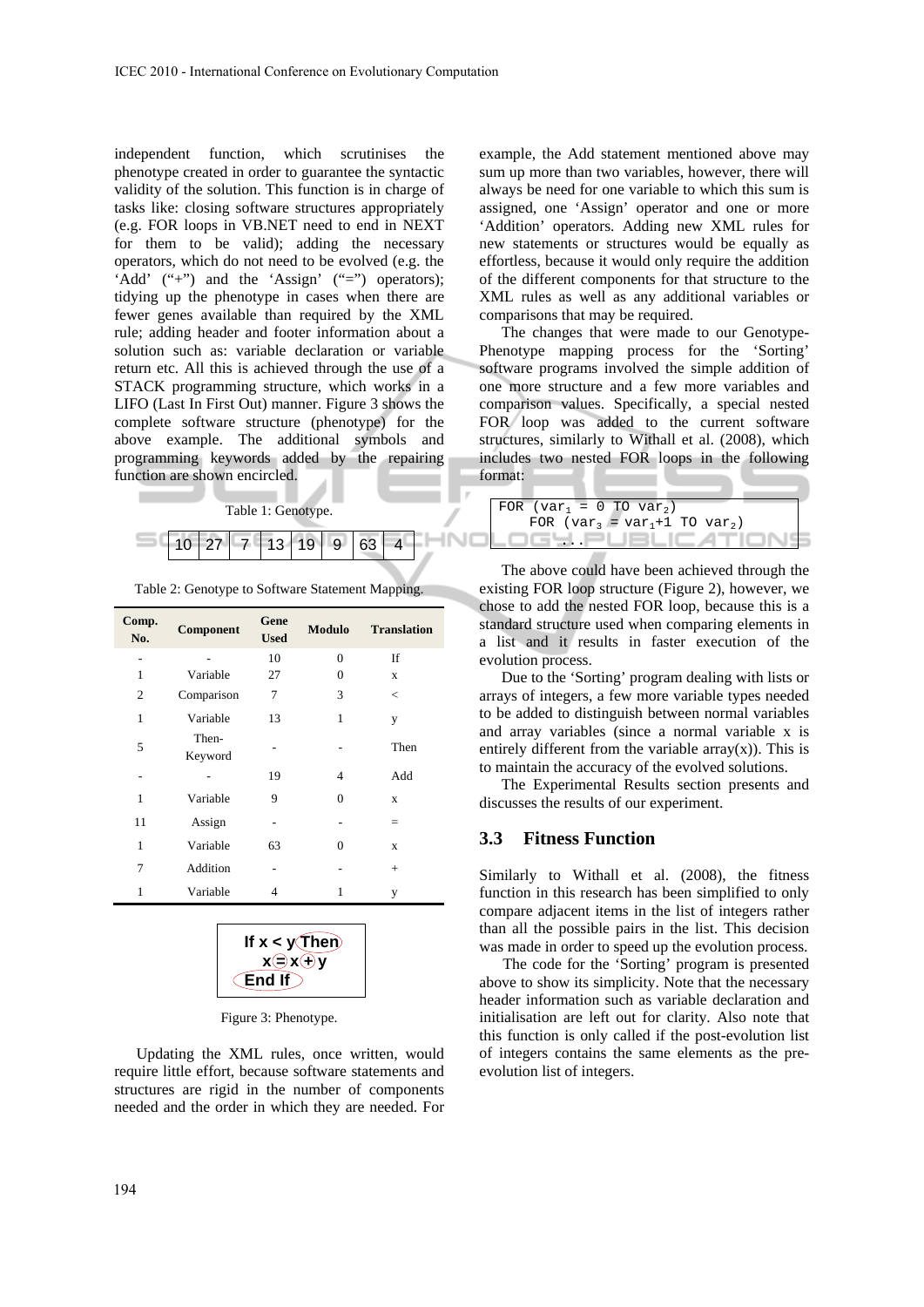independent function, which scrutinises the phenotype created in order to guarantee the syntactic validity of the solution. This function is in charge of tasks like: closing software structures appropriately (e.g. FOR loops in VB.NET need to end in NEXT for them to be valid); adding the necessary operators, which do not need to be evolved (e.g. the 'Add' ("+") and the 'Assign' ("=") operators); tidying up the phenotype in cases when there are fewer genes available than required by the XML rule; adding header and footer information about a solution such as: variable declaration or variable return etc. All this is achieved through the use of a STACK programming structure, which works in a LIFO (Last In First Out) manner. Figure 3 shows the complete software structure (phenotype) for the above example. The additional symbols and programming keywords added by the repairing function are shown encircled.



Table 2: Genotype to Software Statement Mapping.

| Comp.<br>No.   | Component        | Gene<br><b>Used</b> | <b>Modulo</b> | <b>Translation</b> |
|----------------|------------------|---------------------|---------------|--------------------|
|                |                  | 10                  | $\Omega$      | If                 |
| 1              | Variable         | 27                  | $\Omega$      | X                  |
| $\overline{2}$ | Comparison       | 7                   | 3             | $\,<$              |
| 1              | Variable         | 13                  | 1             | y                  |
| 5              | Then-<br>Keyword |                     |               | Then               |
|                |                  | 19                  | 4             | Add                |
| 1              | Variable         | 9                   | $\theta$      | X                  |
| 11             | Assign           |                     |               | $=$                |
| 1              | Variable         | 63                  | $\Omega$      | X                  |
| 7              | Addition         |                     |               | $^{+}$             |
| 1              | Variable         | 4                   | 1             | y                  |

| If $x < y$ (Then)           |
|-----------------------------|
| $x \bigoplus x \bigoplus y$ |
| ∈End If ∋                   |

Figure 3: Phenotype.

Updating the XML rules, once written, would require little effort, because software statements and structures are rigid in the number of components needed and the order in which they are needed. For

example, the Add statement mentioned above may sum up more than two variables, however, there will always be need for one variable to which this sum is assigned, one 'Assign' operator and one or more 'Addition' operators. Adding new XML rules for new statements or structures would be equally as effortless, because it would only require the addition of the different components for that structure to the XML rules as well as any additional variables or comparisons that may be required.

The changes that were made to our Genotype-Phenotype mapping process for the 'Sorting' software programs involved the simple addition of one more structure and a few more variables and comparison values. Specifically, a special nested FOR loop was added to the current software structures, similarly to Withall et al. (2008), which includes two nested FOR loops in the following format:

| FOR $\left(\text{var}_1 = 0 \text{ TO } \text{var}_2\right)$ |
|--------------------------------------------------------------|
| FOR $\{var_3 = var_1 + 1 \text{ TO } var_2\}$                |
|                                                              |

The above could have been achieved through the existing FOR loop structure (Figure 2), however, we chose to add the nested FOR loop, because this is a standard structure used when comparing elements in a list and it results in faster execution of the evolution process.

Due to the 'Sorting' program dealing with lists or arrays of integers, a few more variable types needed to be added to distinguish between normal variables and array variables (since a normal variable x is entirely different from the variable  $array(x)$ ). This is to maintain the accuracy of the evolved solutions.

The Experimental Results section presents and discusses the results of our experiment.

#### **3.3 Fitness Function**

Similarly to Withall et al. (2008), the fitness function in this research has been simplified to only compare adjacent items in the list of integers rather than all the possible pairs in the list. This decision was made in order to speed up the evolution process.

The code for the 'Sorting' program is presented above to show its simplicity. Note that the necessary header information such as variable declaration and initialisation are left out for clarity. Also note that this function is only called if the post-evolution list of integers contains the same elements as the preevolution list of integers.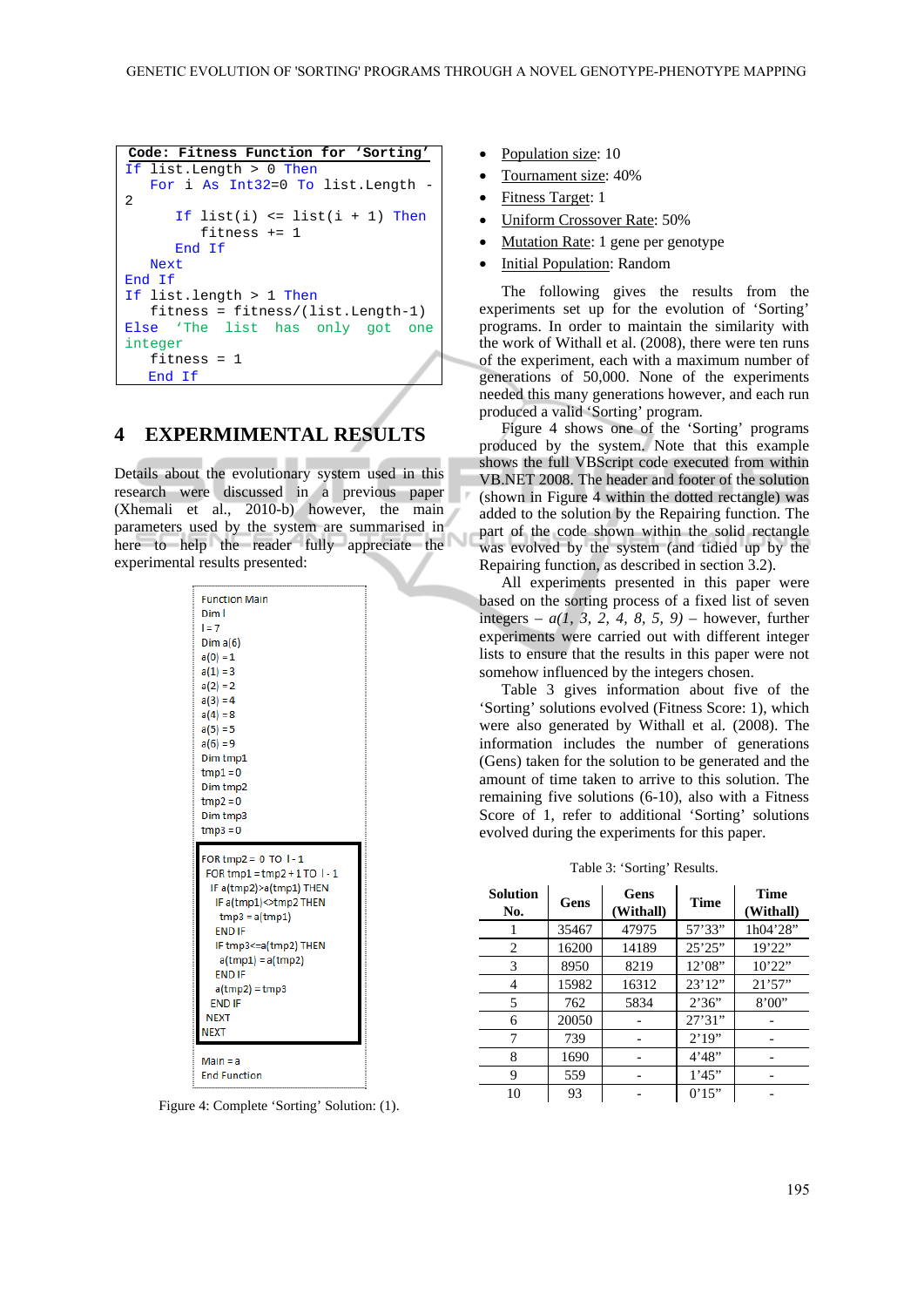```
Code: Fitness Function for 'Sorting'
If list.Length > 0 Then 
    For i As Int32=0 To list.Length -
\overline{2}If list(i) \le list(i + 1) Then
          fitness += 1 
       End If 
    Next 
End If 
If list.length > 1 Then 
    fitness = fitness/(list.Length-1) 
Else 'The list has only got one 
integer
    fitness = 1 
   End If
```
## **4 EXPERMIMENTAL RESULTS**

Details about the evolutionary system used in this research were discussed in a previous paper (Xhemali et al., 2010-b) however, the main parameters used by the system are summarised in here to help the reader fully appreciate the experimental results presented:

| <b>Function Main</b>                                                                                                                                                                                                                                                |
|---------------------------------------------------------------------------------------------------------------------------------------------------------------------------------------------------------------------------------------------------------------------|
| Dim l                                                                                                                                                                                                                                                               |
| $l = 7$                                                                                                                                                                                                                                                             |
| Dima(6)                                                                                                                                                                                                                                                             |
| $a(0) = 1$                                                                                                                                                                                                                                                          |
| $a(1) = 3$                                                                                                                                                                                                                                                          |
| $a(2) = 2$                                                                                                                                                                                                                                                          |
| $a(3) = 4$                                                                                                                                                                                                                                                          |
| $a(4) = 8$                                                                                                                                                                                                                                                          |
| $a(5) = 5$                                                                                                                                                                                                                                                          |
| $a(6) = 9$                                                                                                                                                                                                                                                          |
| Dim tmp1                                                                                                                                                                                                                                                            |
| $tmp1 = 0$                                                                                                                                                                                                                                                          |
| Dim tmp2                                                                                                                                                                                                                                                            |
| $tmp2 = 0$                                                                                                                                                                                                                                                          |
| Dim tmp3                                                                                                                                                                                                                                                            |
| $tmp3 = 0$                                                                                                                                                                                                                                                          |
|                                                                                                                                                                                                                                                                     |
| FOR tmp2 = $0$ TO $1 - 1$<br>FOR tmp1 = tmp2 + 1 TO $1 - 1$<br>IF a(tmp2)>a(tmp1) THEN<br>IF a(tmp1)<>tmp2 THEN<br>$tmp3 = a(tmp1)$<br><b>END IF</b><br>IF tmp3<=a(tmp2) THEN<br>$a(tmp1) = a(tmp2)$<br><b>END IF</b><br>$a$ (tmp2) = tmp3<br><b>END IF</b><br>NEXT |
| <b>NEXT</b>                                                                                                                                                                                                                                                         |
| Main = a                                                                                                                                                                                                                                                            |

Figure 4: Complete 'Sorting' Solution: (1).

- Population size: 10
- Tournament size: 40%
- Fitness Target: 1
- Uniform Crossover Rate: 50%
- Mutation Rate: 1 gene per genotype
- Initial Population: Random

The following gives the results from the experiments set up for the evolution of 'Sorting' programs. In order to maintain the similarity with the work of Withall et al. (2008), there were ten runs of the experiment, each with a maximum number of generations of 50,000. None of the experiments needed this many generations however, and each run produced a valid 'Sorting' program.

Figure 4 shows one of the 'Sorting' programs produced by the system. Note that this example shows the full VBScript code executed from within VB.NET 2008. The header and footer of the solution (shown in Figure 4 within the dotted rectangle) was added to the solution by the Repairing function. The part of the code shown within the solid rectangle was evolved by the system (and tidied up by the Repairing function, as described in section 3.2).

All experiments presented in this paper were based on the sorting process of a fixed list of seven integers –  $a(1, 3, 2, 4, 8, 5, 9)$  – however, further experiments were carried out with different integer lists to ensure that the results in this paper were not somehow influenced by the integers chosen.

Table 3 gives information about five of the 'Sorting' solutions evolved (Fitness Score: 1), which were also generated by Withall et al. (2008). The information includes the number of generations (Gens) taken for the solution to be generated and the amount of time taken to arrive to this solution. The remaining five solutions (6-10), also with a Fitness Score of 1, refer to additional 'Sorting' solutions evolved during the experiments for this paper.

Table 3: 'Sorting' Results.

| <b>Solution</b><br>No. | Gens  | Gens<br>(Withall) | <b>Time</b> | <b>Time</b><br>(Withall) |
|------------------------|-------|-------------------|-------------|--------------------------|
|                        | 35467 | 47975             | 57'33"      | 1h04'28"                 |
| 2                      | 16200 | 14189             | 25'25"      | 19'22"                   |
| 3                      | 8950  | 8219              | 12'08"      | 10'22"                   |
| 4                      | 15982 | 16312             | 23'12''     | 21'57''                  |
| 5                      | 762   | 5834              | 2'36"       | 8'00"                    |
| 6                      | 20050 |                   | 27'31''     |                          |
|                        | 739   |                   | 2'19''      |                          |
| 8                      | 1690  |                   | 4'48"       |                          |
| 9                      | 559   |                   | 1'45"       |                          |
| 10                     | 93    |                   | 0'15"       |                          |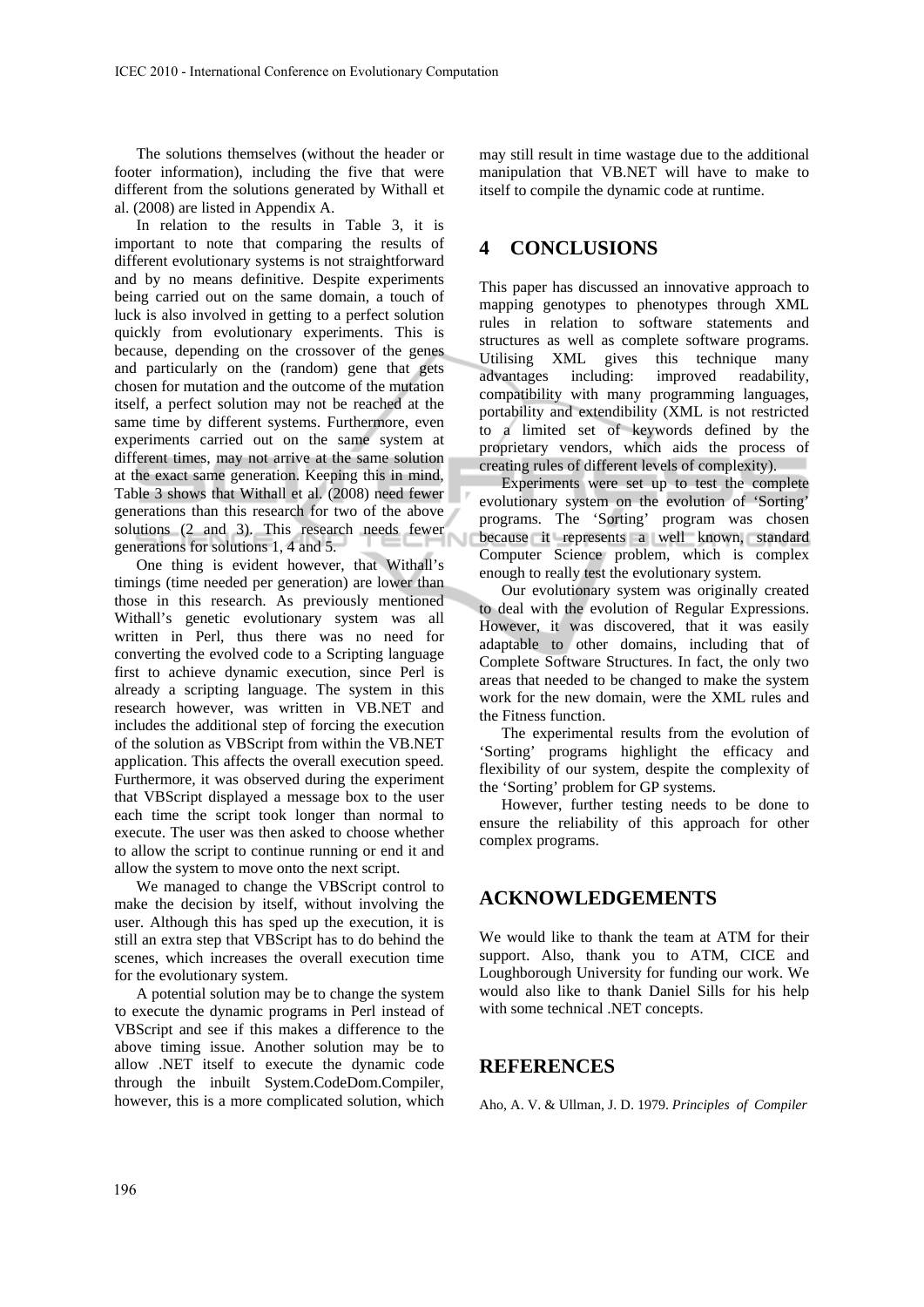The solutions themselves (without the header or footer information), including the five that were different from the solutions generated by Withall et al. (2008) are listed in Appendix A.

In relation to the results in Table 3, it is important to note that comparing the results of different evolutionary systems is not straightforward and by no means definitive. Despite experiments being carried out on the same domain, a touch of luck is also involved in getting to a perfect solution quickly from evolutionary experiments. This is because, depending on the crossover of the genes and particularly on the (random) gene that gets chosen for mutation and the outcome of the mutation itself, a perfect solution may not be reached at the same time by different systems. Furthermore, even experiments carried out on the same system at different times, may not arrive at the same solution at the exact same generation. Keeping this in mind, Table 3 shows that Withall et al. (2008) need fewer generations than this research for two of the above solutions (2 and 3). This research needs fewer generations for solutions 1, 4 and 5.

One thing is evident however, that Withall's timings (time needed per generation) are lower than those in this research. As previously mentioned Withall's genetic evolutionary system was all written in Perl, thus there was no need for converting the evolved code to a Scripting language first to achieve dynamic execution, since Perl is already a scripting language. The system in this research however, was written in VB.NET and includes the additional step of forcing the execution of the solution as VBScript from within the VB.NET application. This affects the overall execution speed. Furthermore, it was observed during the experiment that VBScript displayed a message box to the user each time the script took longer than normal to execute. The user was then asked to choose whether to allow the script to continue running or end it and allow the system to move onto the next script.

We managed to change the VBScript control to make the decision by itself, without involving the user. Although this has sped up the execution, it is still an extra step that VBScript has to do behind the scenes, which increases the overall execution time for the evolutionary system.

A potential solution may be to change the system to execute the dynamic programs in Perl instead of VBScript and see if this makes a difference to the above timing issue. Another solution may be to allow .NET itself to execute the dynamic code through the inbuilt System.CodeDom.Compiler, however, this is a more complicated solution, which

may still result in time wastage due to the additional manipulation that VB.NET will have to make to itself to compile the dynamic code at runtime.

## **4 CONCLUSIONS**

This paper has discussed an innovative approach to mapping genotypes to phenotypes through XML rules in relation to software statements and structures as well as complete software programs. Utilising XML gives this technique many advantages including: improved readability, compatibility with many programming languages, portability and extendibility (XML is not restricted to a limited set of keywords defined by the proprietary vendors, which aids the process of creating rules of different levels of complexity).

Experiments were set up to test the complete evolutionary system on the evolution of 'Sorting' programs. The 'Sorting' program was chosen because it represents a well known, standard Computer Science problem, which is complex enough to really test the evolutionary system.

Our evolutionary system was originally created to deal with the evolution of Regular Expressions. However, it was discovered, that it was easily adaptable to other domains, including that of Complete Software Structures. In fact, the only two areas that needed to be changed to make the system work for the new domain, were the XML rules and the Fitness function.

The experimental results from the evolution of 'Sorting' programs highlight the efficacy and flexibility of our system, despite the complexity of the 'Sorting' problem for GP systems.

However, further testing needs to be done to ensure the reliability of this approach for other complex programs.

### **ACKNOWLEDGEMENTS**

We would like to thank the team at ATM for their support. Also, thank you to ATM, CICE and Loughborough University for funding our work. We would also like to thank Daniel Sills for his help with some technical .NET concepts.

### **REFERENCES**

Aho, A. V. & Ullman, J. D. 1979. *Principles of Compiler*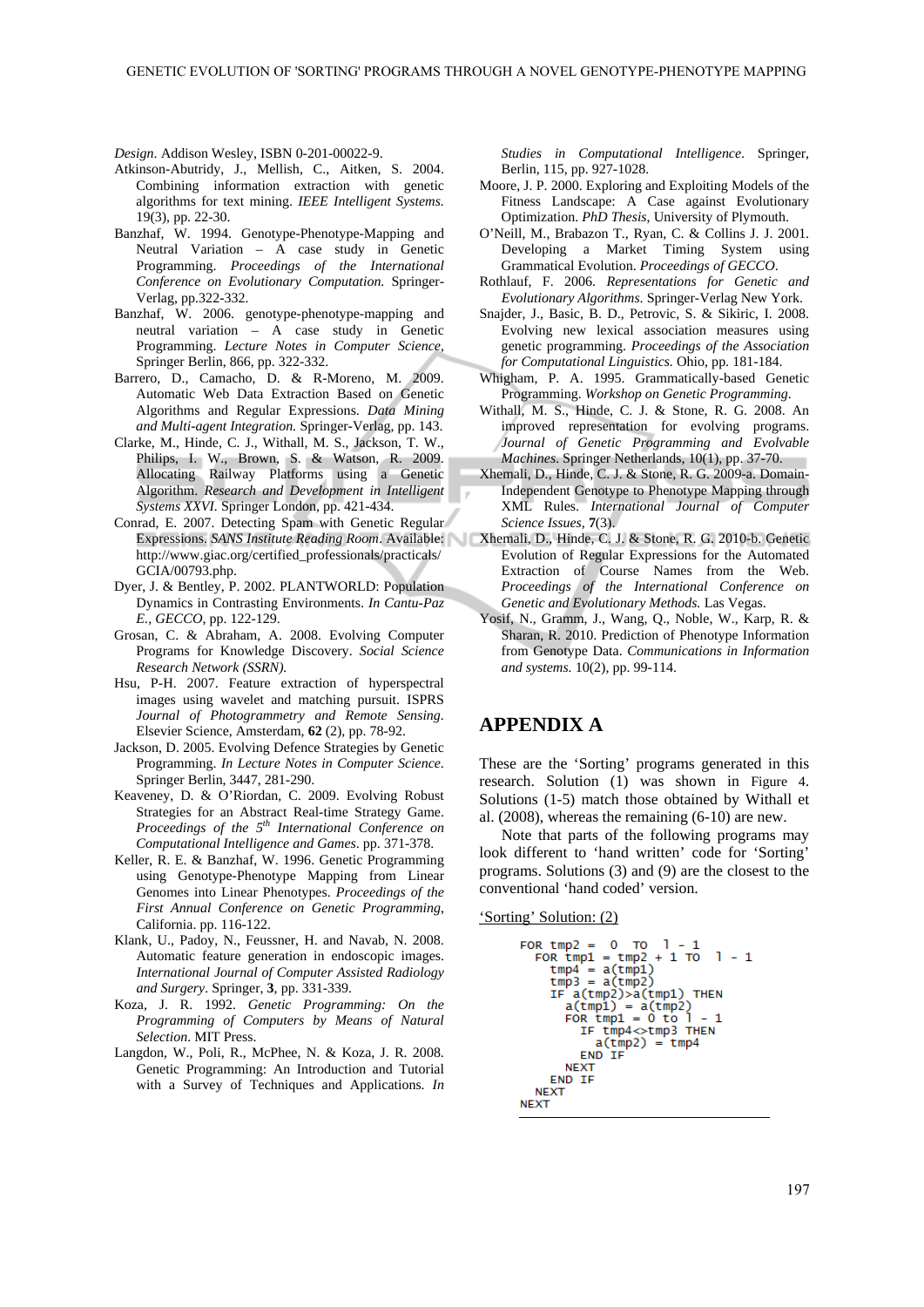*Design*. Addison Wesley, ISBN 0-201-00022-9.

- Atkinson-Abutridy, J., Mellish, C., Aitken, S. 2004. Combining information extraction with genetic algorithms for text mining. *IEEE Intelligent Systems.*  19(3), pp. 22-30.
- Banzhaf, W. 1994. Genotype-Phenotype-Mapping and Neutral Variation – A case study in Genetic Programming. *Proceedings of the International Conference on Evolutionary Computation.* Springer-Verlag, pp.322-332.
- Banzhaf, W. 2006. genotype-phenotype-mapping and neutral variation – A case study in Genetic Programming. *Lecture Notes in Computer Science,* Springer Berlin, 866, pp. 322-332.
- Barrero, D., Camacho, D. & R-Moreno, M. 2009. Automatic Web Data Extraction Based on Genetic Algorithms and Regular Expressions. *Data Mining and Multi-agent Integration.* Springer-Verlag, pp. 143.
- Clarke, M., Hinde, C. J., Withall, M. S., Jackson, T. W., Philips, I. W., Brown, S. & Watson, R. 2009. Allocating Railway Platforms using a Genetic Algorithm. *Research and Development in Intelligent Systems XXVI.* Springer London, pp. 421-434.
- Conrad, E. 2007. Detecting Spam with Genetic Regular http://www.giac.org/certified\_professionals/practicals/ GCIA/00793.php.
- Dyer, J. & Bentley, P. 2002. PLANTWORLD: Population Dynamics in Contrasting Environments. *In Cantu-Paz E., GECCO*, pp. 122-129.
- Grosan, C. & Abraham, A. 2008. Evolving Computer Programs for Knowledge Discovery. *Social Science Research Network (SSRN).*
- Hsu, P-H. 2007. Feature extraction of hyperspectral images using wavelet and matching pursuit. ISPRS *Journal of Photogrammetry and Remote Sensing*. Elsevier Science, Amsterdam, **62** (2), pp. 78-92.
- Jackson, D. 2005. Evolving Defence Strategies by Genetic Programming. *In Lecture Notes in Computer Science*. Springer Berlin, 3447, 281-290.
- Keaveney, D. & O'Riordan, C. 2009. Evolving Robust Strategies for an Abstract Real-time Strategy Game. *Proceedings of the 5th International Conference on Computational Intelligence and Games*. pp. 371-378.
- Keller, R. E. & Banzhaf, W. 1996. Genetic Programming using Genotype-Phenotype Mapping from Linear Genomes into Linear Phenotypes. *Proceedings of the First Annual Conference on Genetic Programming*, California. pp. 116-122.
- Klank, U., Padoy, N., Feussner, H. and Navab, N. 2008. Automatic feature generation in endoscopic images. *International Journal of Computer Assisted Radiology and Surgery*. Springer, **3**, pp. 331-339.
- Koza, J. R. 1992. *Genetic Programming: On the Programming of Computers by Means of Natural Selection*. MIT Press.
- Langdon, W., Poli, R., McPhee, N. & Koza, J. R. 2008. Genetic Programming: An Introduction and Tutorial with a Survey of Techniques and Applications. *In*

*Studies in Computational Intelligence*. Springer, Berlin, 115, pp. 927-1028.

- Moore, J. P. 2000. Exploring and Exploiting Models of the Fitness Landscape: A Case against Evolutionary Optimization. *PhD Thesis*, University of Plymouth.
- O'Neill, M., Brabazon T., Ryan, C. & Collins J. J. 2001. Developing a Market Timing System using Grammatical Evolution. *Proceedings of GECCO*.
- Rothlauf, F. 2006. *Representations for Genetic and Evolutionary Algorithms*. Springer-Verlag New York.
- Snajder, J., Basic, B. D., Petrovic, S. & Sikiric, I. 2008. Evolving new lexical association measures using genetic programming. *Proceedings of the Association for Computational Linguistics.* Ohio, pp. 181-184.
- Whigham, P. A. 1995. Grammatically-based Genetic Programming. *Workshop on Genetic Programming*.
- Withall, M. S., Hinde, C. J. & Stone, R. G. 2008. An improved representation for evolving programs. *Journal of Genetic Programming and Evolvable Machines*. Springer Netherlands, 10(1), pp. 37-70.
- Xhemali, D., Hinde, C. J. & Stone, R. G. 2009-a. Domain-Independent Genotype to Phenotype Mapping through XML Rules. *International Journal of Computer Science Issues*, **7**(3).
- Expressions. *SANS Institute Reading Room*. Available: Xhemali, D., Hinde, C. J. & Stone, R. G. 2010-b. Genetic Evolution of Regular Expressions for the Automated Extraction of Course Names from the Web. *Proceedings of the International Conference on Genetic and Evolutionary Methods.* Las Vegas.
	- Yosif, N., Gramm, J., Wang, Q., Noble, W., Karp, R. & Sharan, R. 2010. Prediction of Phenotype Information from Genotype Data. *Communications in Information and systems.* 10(2), pp. 99-114.

## **APPENDIX A**

These are the 'Sorting' programs generated in this research. Solution (1) was shown in Figure 4. Solutions (1-5) match those obtained by Withall et al. (2008), whereas the remaining (6-10) are new.

Note that parts of the following programs may look different to 'hand written' code for 'Sorting' programs. Solutions (3) and (9) are the closest to the conventional 'hand coded' version.

'Sorting' Solution: (2)

FOR  $tmp2 = 0$  TO  $1 - 1$  $FOR$  tmp1 = tmp2 + 1 TO 1 - 1<br>tmp4 = a(tmp1)<br>tmp3 = a(tmp2)<br>TE 3(tmp2) IF a(tmp2)>a(tmp1) **THEN**  $a(tmp1) = a(tmp2)$ <br>FOR tmp1 = 0 to 1 - 1<br>IF tmp4 $\ll$ tmp3 THEN  $\blacksquare$  $a(tmp2) = tmp4$ END IF **NEXT** END IF **NEXT NEXT**